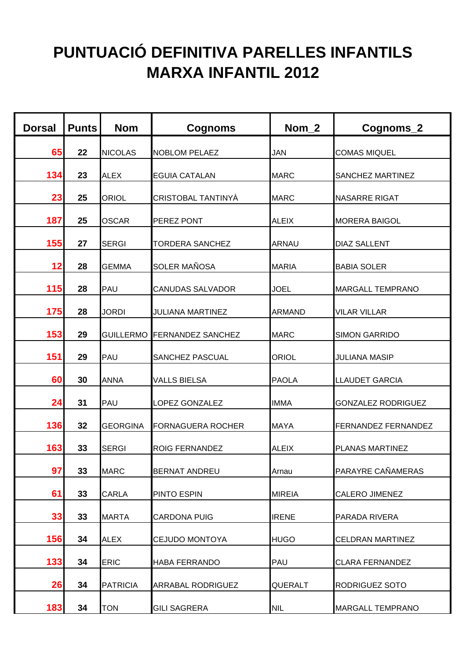## **PUNTUACIÓ DEFINITIVA PARELLES INFANTILS MARXA INFANTIL 2012**

| <b>Dorsal</b> | <b>Punts</b> | <b>Nom</b>      | <b>Cognoms</b>              | Nom <sub>2</sub> | Cognoms_2                 |
|---------------|--------------|-----------------|-----------------------------|------------------|---------------------------|
| 65            | 22           | <b>NICOLAS</b>  | <b>NOBLOM PELAEZ</b>        | <b>JAN</b>       | <b>COMAS MIQUEL</b>       |
| 134           | 23           | <b>ALEX</b>     | <b>EGUIA CATALAN</b>        | <b>MARC</b>      | SANCHEZ MARTINEZ          |
| 23            | 25           | <b>ORIOL</b>    | CRISTOBAL TANTINYÀ          | <b>MARC</b>      | <b>NASARRE RIGAT</b>      |
| 187           | 25           | <b>OSCAR</b>    | PEREZ PONT                  | <b>ALEIX</b>     | <b>MORERA BAIGOL</b>      |
| 155           | 27           | <b>SERGI</b>    | <b>TORDERA SANCHEZ</b>      | <b>ARNAU</b>     | <b>DIAZ SALLENT</b>       |
| 12            | 28           | <b>GEMMA</b>    | <b>SOLER MAÑOSA</b>         | <b>MARIA</b>     | <b>BABIA SOLER</b>        |
| <b>115</b>    | 28           | PAU             | <b>CANUDAS SALVADOR</b>     | <b>JOEL</b>      | <b>MARGALL TEMPRANO</b>   |
| <b>175</b>    | 28           | <b>JORDI</b>    | <b>JULIANA MARTINEZ</b>     | <b>ARMAND</b>    | <b>VILAR VILLAR</b>       |
| 153           | 29           |                 | GUILLERMO FERNANDEZ SANCHEZ | <b>MARC</b>      | <b>SIMON GARRIDO</b>      |
| 151           | 29           | PAU             | SANCHEZ PASCUAL             | <b>ORIOL</b>     | <b>JULIANA MASIP</b>      |
| 60            | 30           | <b>ANNA</b>     | <b>VALLS BIELSA</b>         | <b>PAOLA</b>     | <b>LLAUDET GARCIA</b>     |
| 24            | 31           | PAU             | LOPEZ GONZALEZ              | <b>IMMA</b>      | <b>GONZALEZ RODRIGUEZ</b> |
| 136           | 32           | <b>GEORGINA</b> | <b>FORNAGUERA ROCHER</b>    | <b>MAYA</b>      | FERNANDEZ FERNANDEZ       |
| 163           | 33           | <b>SERGI</b>    | <b>ROIG FERNANDEZ</b>       | <b>ALEIX</b>     | PLANAS MARTINEZ           |
| 97            | 33           | <b>MARC</b>     | <b>BERNAT ANDREU</b>        | Arnau            | PARAYRE CAÑAMERAS         |
| 61            | 33           | <b>CARLA</b>    | PINTO ESPIN                 | <b>MIREIA</b>    | <b>CALERO JIMENEZ</b>     |
| 33            | 33           | <b>MARTA</b>    | <b>CARDONA PUIG</b>         | <b>IRENE</b>     | PARADA RIVERA             |
| 156           | 34           | <b>ALEX</b>     | <b>CEJUDO MONTOYA</b>       | <b>HUGO</b>      | <b>CELDRAN MARTINEZ</b>   |
| $133$         | 34           | <b>ERIC</b>     | <b>HABA FERRANDO</b>        | PAU              | <b>CLARA FERNANDEZ</b>    |
| 26            | 34           | <b>PATRICIA</b> | ARRABAL RODRIGUEZ           | <b>QUERALT</b>   | RODRIGUEZ SOTO            |
| 183           | 34           | <b>TON</b>      | <b>GILI SAGRERA</b>         | <b>NIL</b>       | <b>MARGALL TEMPRANO</b>   |